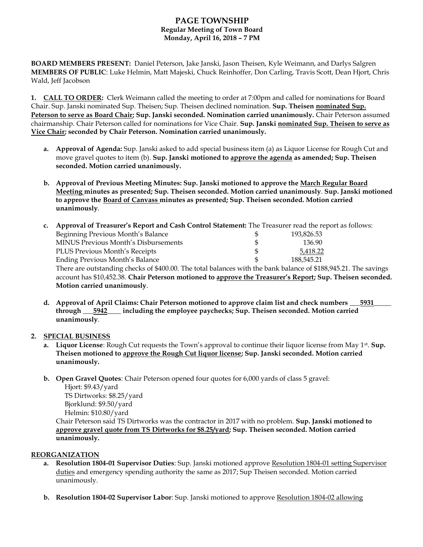# **PAGE TOWNSHIP Regular Meeting of Town Board Monday, April 16, 2018 – 7 PM**

**BOARD MEMBERS PRESENT:** Daniel Peterson, Jake Janski, Jason Theisen, Kyle Weimann, and Darlys Salgren **MEMBERS OF PUBLIC**: Luke Helmin, Matt Majeski, Chuck Reinhoffer, Don Carling, Travis Scott, Dean Hjort, Chris Wald, Jeff Jacobson

**1. CALL TO ORDER:** Clerk Weimann called the meeting to order at 7:00pm and called for nominations for Board Chair. Sup. Janski nominated Sup. Theisen; Sup. Theisen declined nomination. **Sup. Theisen nominated Sup. Peterson to serve as Board Chair; Sup. Janski seconded. Nomination carried unanimously.** Chair Peterson assumed chairmanship. Chair Peterson called for nominations for Vice Chair. **Sup. Janski nominated Sup. Theisen to serve as Vice Chair; seconded by Chair Peterson. Nomination carried unanimously.**

- **a. Approval of Agenda:** Sup. Janski asked to add special business item (a) as Liquor License for Rough Cut and move gravel quotes to item (b). **Sup. Janski motioned to approve the agenda as amended; Sup. Theisen seconded. Motion carried unanimously.**
- **b. Approval of Previous Meeting Minutes: Sup. Janski motioned to approve the March Regular Board Meeting minutes as presented; Sup. Theisen seconded. Motion carried unanimously**. **Sup. Janski motioned to approve the Board of Canvass minutes as presented; Sup. Theisen seconded. Motion carried unanimously**.

| $c_{\cdot}$ | Approval of Treasurer's Report and Cash Control Statement: The Treasurer read the report as follows:                                                                                                                          |  |            |  |
|-------------|-------------------------------------------------------------------------------------------------------------------------------------------------------------------------------------------------------------------------------|--|------------|--|
|             | Beginning Previous Month's Balance                                                                                                                                                                                            |  | 193,826.53 |  |
|             | MINUS Previous Month's Disbursements                                                                                                                                                                                          |  | 136.90     |  |
|             | PLUS Previous Month's Receipts                                                                                                                                                                                                |  | 5,418.22   |  |
|             | <b>Ending Previous Month's Balance</b>                                                                                                                                                                                        |  | 188,545.21 |  |
|             | There are outstanding checks of \$400.00. The total balances with the bank balance of \$188,945.21. The savings<br>account has \$10,452.38. Chair Peterson motioned to approve the Treasurer's Report; Sup. Theisen seconded. |  |            |  |
|             |                                                                                                                                                                                                                               |  |            |  |
|             | Motion carried unanimously.                                                                                                                                                                                                   |  |            |  |

**d. Approval of April Claims: Chair Peterson motioned to approve claim list and check numbers \_\_\_5931\_\_\_\_\_ through \_\_\_5942\_\_\_\_ including the employee paychecks; Sup. Theisen seconded. Motion carried unanimously**.

### **2. SPECIAL BUSINESS**

- **a.** Liquor License: Rough Cut requests the Town's approval to continue their liquor license from May 1<sup>st</sup>. Sup. **Theisen motioned to approve the Rough Cut liquor license; Sup. Janski seconded. Motion carried unanimously.**
- **b. Open Gravel Quotes**: Chair Peterson opened four quotes for 6,000 yards of class 5 gravel:

 Hjort: \$9.43/yard TS Dirtworks: \$8.25/yard Bjorklund: \$9.50/yard Helmin: \$10.80/yard

Chair Peterson said TS Dirtworks was the contractor in 2017 with no problem. **Sup. Janski motioned to approve gravel quote from TS Dirtworks for \$8.25/yard; Sup. Theisen seconded. Motion carried unanimously.**

### **REORGANIZATION**

- **a. Resolution 1804-01 Supervisor Duties**: Sup. Janski motioned approve Resolution 1804-01 setting Supervisor duties and emergency spending authority the same as 2017; Sup Theisen seconded. Motion carried unanimously.
- **b. Resolution 1804-02 Supervisor Labor**: Sup. Janski motioned to approve Resolution 1804-02 allowing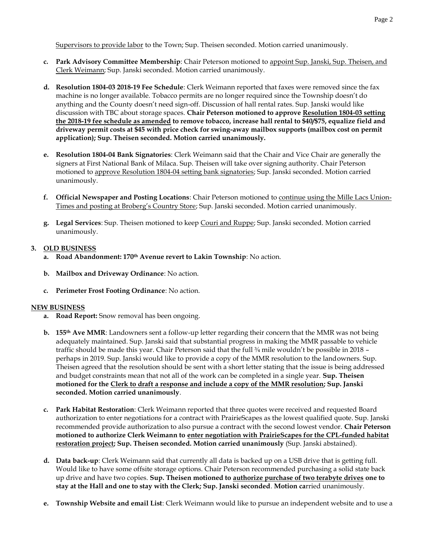Supervisors to provide labor to the Town; Sup. Theisen seconded. Motion carried unanimously.

- **c. Park Advisory Committee Membership**: Chair Peterson motioned to appoint Sup. Janski, Sup. Theisen, and Clerk Weimann; Sup. Janski seconded. Motion carried unanimously.
- **d. Resolution 1804-03 2018-19 Fee Schedule**: Clerk Weimann reported that faxes were removed since the fax machine is no longer available. Tobacco permits are no longer required since the Township doesn't do anything and the County doesn't need sign-off. Discussion of hall rental rates. Sup. Janski would like discussion with TBC about storage spaces. **Chair Peterson motioned to approve Resolution 1804-03 setting the 2018-19 fee schedule as amended to remove tobacco, increase hall rental to \$40/\$75, equalize field and driveway permit costs at \$45 with price check for swing-away mailbox supports (mailbox cost on permit application); Sup. Theisen seconded. Motion carried unanimously.**
- **e. Resolution 1804-04 Bank Signatories**: Clerk Weimann said that the Chair and Vice Chair are generally the signers at First National Bank of Milaca. Sup. Theisen will take over signing authority. Chair Peterson motioned to approve Resolution 1804-04 setting bank signatories; Sup. Janski seconded. Motion carried unanimously.
- **f. Official Newspaper and Posting Locations**: Chair Peterson motioned to continue using the Mille Lacs Union-Times and posting at Broberg's Country Store; Sup. Janski seconded. Motion carried unanimously.
- **g. Legal Services**: Sup. Theisen motioned to keep Couri and Ruppe; Sup. Janski seconded. Motion carried unanimously.

# **3. OLD BUSINESS**

- **a. Road Abandonment: 170th Avenue revert to Lakin Township**: No action.
- **b. Mailbox and Driveway Ordinance**: No action.
- **c. Perimeter Frost Footing Ordinance**: No action.

### **NEW BUSINESS**

- **a. Road Report:** Snow removal has been ongoing.
- **b. 155th Ave MMR**: Landowners sent a follow-up letter regarding their concern that the MMR was not being adequately maintained. Sup. Janski said that substantial progress in making the MMR passable to vehicle traffic should be made this year. Chair Peterson said that the full <sup>3/4</sup> mile wouldn't be possible in 2018 perhaps in 2019. Sup. Janski would like to provide a copy of the MMR resolution to the landowners. Sup. Theisen agreed that the resolution should be sent with a short letter stating that the issue is being addressed and budget constraints mean that not all of the work can be completed in a single year. **Sup. Theisen motioned for the Clerk to draft a response and include a copy of the MMR resolution; Sup. Janski seconded. Motion carried unanimously**.
- **c. Park Habitat Restoration**: Clerk Weimann reported that three quotes were received and requested Board authorization to enter negotiations for a contract with PrairieScapes as the lowest qualified quote. Sup. Janski recommended provide authorization to also pursue a contract with the second lowest vendor. **Chair Peterson motioned to authorize Clerk Weimann to enter negotiation with PrairieScapes for the CPL-funded habitat restoration project; Sup. Theisen seconded. Motion carried unanimously** (Sup. Janski abstained).
- **d. Data back-up**: Clerk Weimann said that currently all data is backed up on a USB drive that is getting full. Would like to have some offsite storage options. Chair Peterson recommended purchasing a solid state back up drive and have two copies. **Sup. Theisen motioned to authorize purchase of two terabyte drives one to stay at the Hall and one to stay with the Clerk; Sup. Janski seconded**. **Motion ca**rried unanimously.
- **e. Township Website and email List**: Clerk Weimann would like to pursue an independent website and to use a